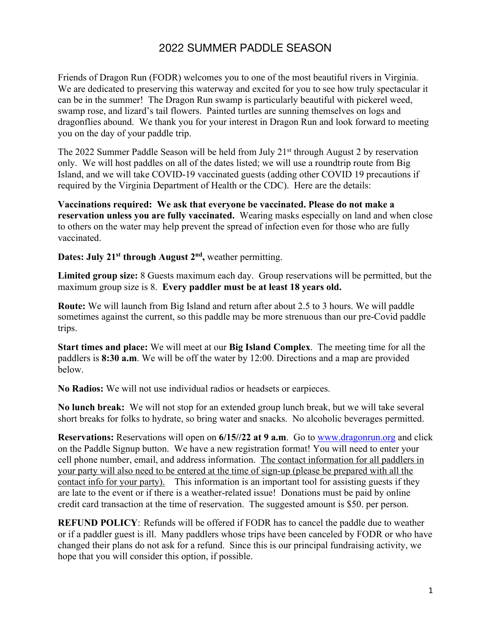## 2022 SUMMER PADDLE SEASON

Friends of Dragon Run (FODR) welcomes you to one of the most beautiful rivers in Virginia. We are dedicated to preserving this waterway and excited for you to see how truly spectacular it can be in the summer! The Dragon Run swamp is particularly beautiful with pickerel weed, swamp rose, and lizard's tail flowers. Painted turtles are sunning themselves on logs and dragonflies abound. We thank you for your interest in Dragon Run and look forward to meeting you on the day of your paddle trip.

The 2022 Summer Paddle Season will be held from July  $21<sup>st</sup>$  through August 2 by reservation only. We will host paddles on all of the dates listed; we will use a roundtrip route from Big Island, and we will take COVID-19 vaccinated guests (adding other COVID 19 precautions if required by the Virginia Department of Health or the CDC). Here are the details:

**Vaccinations required: We ask that everyone be vaccinated. Please do not make a reservation unless you are fully vaccinated.** Wearing masks especially on land and when close to others on the water may help prevent the spread of infection even for those who are fully vaccinated.

**Dates: July 21<sup>st</sup> through August 2<sup>nd</sup>, weather permitting.** 

**Limited group size:** 8 Guests maximum each day. Group reservations will be permitted, but the maximum group size is 8. **Every paddler must be at least 18 years old.**

**Route:** We will launch from Big Island and return after about 2.5 to 3 hours. We will paddle sometimes against the current, so this paddle may be more strenuous than our pre-Covid paddle trips.

**Start times and place:** We will meet at our **Big Island Complex**. The meeting time for all the paddlers is **8:30 a.m**. We will be off the water by 12:00. Directions and a map are provided below.

**No Radios:** We will not use individual radios or headsets or earpieces.

**No lunch break:** We will not stop for an extended group lunch break, but we will take several short breaks for folks to hydrate, so bring water and snacks. No alcoholic beverages permitted.

**Reservations:** Reservations will open on **6/15//22 at 9 a.m**. Go to www.dragonrun.org and click on the Paddle Signup button. We have a new registration format! You will need to enter your cell phone number, email, and address information. The contact information for all paddlers in your party will also need to be entered at the time of sign-up (please be prepared with all the contact info for your party). This information is an important tool for assisting guests if they are late to the event or if there is a weather-related issue! Donations must be paid by online credit card transaction at the time of reservation. The suggested amount is \$50. per person.

**REFUND POLICY**: Refunds will be offered if FODR has to cancel the paddle due to weather or if a paddler guest is ill. Many paddlers whose trips have been canceled by FODR or who have changed their plans do not ask for a refund. Since this is our principal fundraising activity, we hope that you will consider this option, if possible.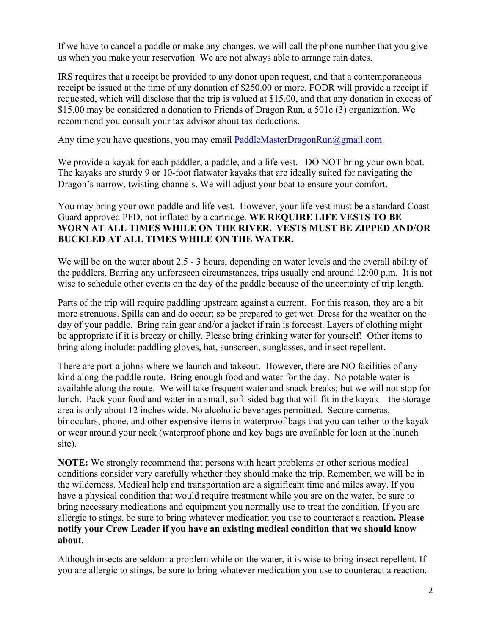If we have to cancel a paddle or make any changes, we will call the phone number that you give us when you make your reservation. We are not always able to arrange rain dates.

IRS requires that a receipt be provided to any donor upon request, and that a contemporaneous receipt be issued at the time of any donation of \$250.00 or more. FODR will provide a receipt if requested, which will disclose that the trip is valued at \$15.00, and that any donation in excess of \$15.00 may be considered a donation to Friends of Dragon Run, a 501c (3) organization. We recommend you consult your tax advisor about tax deductions.

Any time you have questions, you may email PaddleMasterDragonRun $@g$ mail.com.

We provide a kayak for each paddler, a paddle, and a life vest. DO NOT bring your own boat. The kayaks are sturdy 9 or 10-foot flatwater kayaks that are ideally suited for navigating the Dragon's narrow, twisting channels. We will adjust your boat to ensure your comfort.

You may bring your own paddle and life vest. However, your life vest must be a standard Coast-Guard approved PFD, not inflated by a cartridge. **WE REQUIRE LIFE VESTS TO BE WORN AT ALL TIMES WHILE ON THE RIVER. VESTS MUST BE ZIPPED AND/OR BUCKLED AT ALL TIMES WHILE ON THE WATER.**

We will be on the water about 2.5 - 3 hours, depending on water levels and the overall ability of the paddlers. Barring any unforeseen circumstances, trips usually end around 12:00 p.m. It is not wise to schedule other events on the day of the paddle because of the uncertainty of trip length.

Parts of the trip will require paddling upstream against a current. For this reason, they are a bit more strenuous. Spills can and do occur; so be prepared to get wet. Dress for the weather on the day of your paddle. Bring rain gear and/or a jacket if rain is forecast. Layers of clothing might be appropriate if it is breezy or chilly. Please bring drinking water for yourself! Other items to bring along include: paddling gloves, hat, sunscreen, sunglasses, and insect repellent.

There are port-a-johns where we launch and takeout. However, there are NO facilities of any kind along the paddle route. Bring enough food and water for the day. No potable water is available along the route. We will take frequent water and snack breaks; but we will not stop for lunch. Pack your food and water in a small, soft-sided bag that will fit in the kayak – the storage area is only about 12 inches wide. No alcoholic beverages permitted. Secure cameras, binoculars, phone, and other expensive items in waterproof bags that you can tether to the kayak or wear around your neck (waterproof phone and key bags are available for loan at the launch site).

**NOTE:** We strongly recommend that persons with heart problems or other serious medical conditions consider very carefully whether they should make the trip. Remember, we will be in the wilderness. Medical help and transportation are a significant time and miles away. If you have a physical condition that would require treatment while you are on the water, be sure to bring necessary medications and equipment you normally use to treat the condition. If you are allergic to stings, be sure to bring whatever medication you use to counteract a reaction**. Please notify your Crew Leader if you have an existing medical condition that we should know about**.

Although insects are seldom a problem while on the water, it is wise to bring insect repellent. If you are allergic to stings, be sure to bring whatever medication you use to counteract a reaction.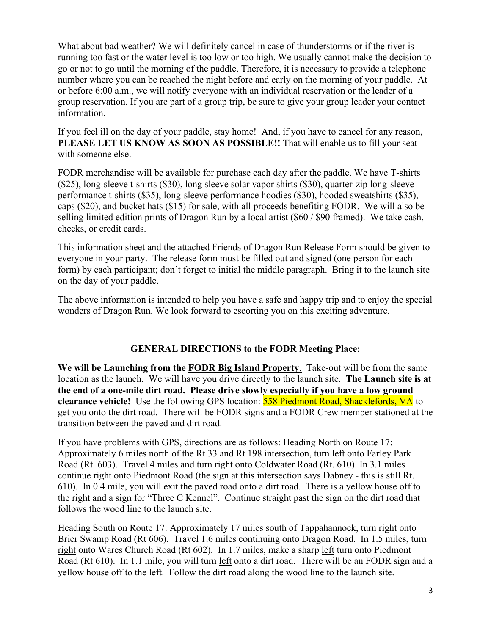What about bad weather? We will definitely cancel in case of thunderstorms or if the river is running too fast or the water level is too low or too high. We usually cannot make the decision to go or not to go until the morning of the paddle. Therefore, it is necessary to provide a telephone number where you can be reached the night before and early on the morning of your paddle. At or before 6:00 a.m., we will notify everyone with an individual reservation or the leader of a group reservation. If you are part of a group trip, be sure to give your group leader your contact information.

If you feel ill on the day of your paddle, stay home! And, if you have to cancel for any reason, **PLEASE LET US KNOW AS SOON AS POSSIBLE!!** That will enable us to fill your seat with someone else.

FODR merchandise will be available for purchase each day after the paddle. We have T-shirts (\$25), long-sleeve t-shirts (\$30), long sleeve solar vapor shirts (\$30), quarter-zip long-sleeve performance t-shirts (\$35), long-sleeve performance hoodies (\$30), hooded sweatshirts (\$35), caps (\$20), and bucket hats (\$15) for sale, with all proceeds benefiting FODR. We will also be selling limited edition prints of Dragon Run by a local artist (\$60 / \$90 framed). We take cash, checks, or credit cards.

This information sheet and the attached Friends of Dragon Run Release Form should be given to everyone in your party. The release form must be filled out and signed (one person for each form) by each participant; don't forget to initial the middle paragraph. Bring it to the launch site on the day of your paddle.

The above information is intended to help you have a safe and happy trip and to enjoy the special wonders of Dragon Run. We look forward to escorting you on this exciting adventure.

### **GENERAL DIRECTIONS to the FODR Meeting Place:**

**We will be Launching from the FODR Big Island Property**. Take-out will be from the same location as the launch. We will have you drive directly to the launch site. **The Launch site is at the end of a one-mile dirt road. Please drive slowly especially if you have a low ground clearance vehicle!** Use the following GPS location: 558 Piedmont Road, Shacklefords, VA to get you onto the dirt road. There will be FODR signs and a FODR Crew member stationed at the transition between the paved and dirt road.

If you have problems with GPS, directions are as follows: Heading North on Route 17: Approximately 6 miles north of the Rt 33 and Rt 198 intersection, turn left onto Farley Park Road (Rt. 603). Travel 4 miles and turn right onto Coldwater Road (Rt. 610). In 3.1 miles continue right onto Piedmont Road (the sign at this intersection says Dabney - this is still Rt. 610). In 0.4 mile, you will exit the paved road onto a dirt road. There is a yellow house off to the right and a sign for "Three C Kennel". Continue straight past the sign on the dirt road that follows the wood line to the launch site.

Heading South on Route 17: Approximately 17 miles south of Tappahannock, turn right onto Brier Swamp Road (Rt 606). Travel 1.6 miles continuing onto Dragon Road. In 1.5 miles, turn right onto Wares Church Road (Rt 602). In 1.7 miles, make a sharp left turn onto Piedmont Road (Rt 610). In 1.1 mile, you will turn left onto a dirt road. There will be an FODR sign and a yellow house off to the left. Follow the dirt road along the wood line to the launch site.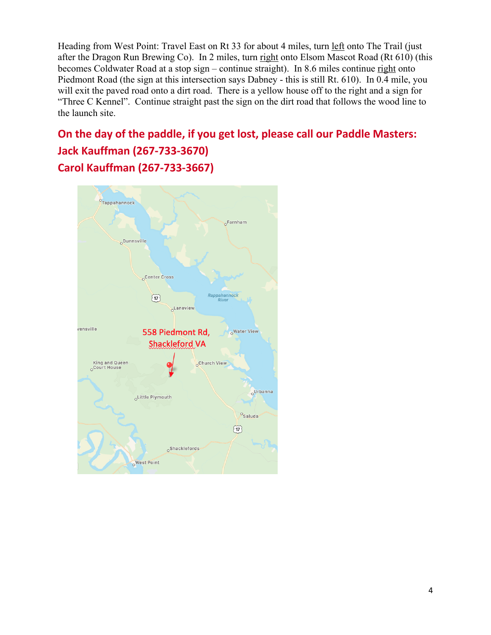Heading from West Point: Travel East on Rt 33 for about 4 miles, turn left onto The Trail (just after the Dragon Run Brewing Co). In 2 miles, turn right onto Elsom Mascot Road (Rt 610) (this becomes Coldwater Road at a stop sign – continue straight). In 8.6 miles continue right onto Piedmont Road (the sign at this intersection says Dabney - this is still Rt. 610). In 0.4 mile, you will exit the paved road onto a dirt road. There is a yellow house off to the right and a sign for "Three C Kennel". Continue straight past the sign on the dirt road that follows the wood line to the launch site.

# **On the day of the paddle, if you get lost, please call our Paddle Masters: Jack Kauffman (267-733-3670) Carol Kauffman (267-733-3667)**